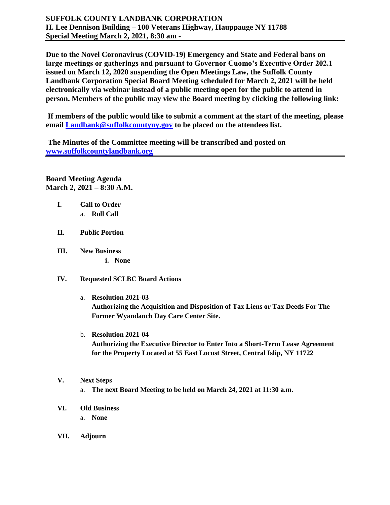**Due to the Novel Coronavirus (COVID-19) Emergency and State and Federal bans on large meetings or gatherings and pursuant to Governor Cuomo's Executive Order 202.1 issued on March 12, 2020 suspending the Open Meetings Law, the Suffolk County Landbank Corporation Special Board Meeting scheduled for March 2, 2021 will be held electronically via webinar instead of a public meeting open for the public to attend in person. Members of the public may view the Board meeting by clicking the following link:**

**If members of the public would like to submit a comment at the start of the meeting, please email [Landbank@suffolkcountyny.gov](mailto:Landbank@suffolkcountyny.gov) to be placed on the attendees list.** 

**The Minutes of the Committee meeting will be transcribed and posted on [www.suffolkcountylandbank.org](http://www.suffolkcountylandbank.org/)**

**Board Meeting Agenda March 2, 2021 – 8:30 A.M.**

- **I. Call to Order**  a. **Roll Call**
- **II. Public Portion**
- **III. New Business i. None**
- **IV. Requested SCLBC Board Actions**

a. **Resolution 2021-03 Authorizing the Acquisition and Disposition of Tax Liens or Tax Deeds For The Former Wyandanch Day Care Center Site.** 

- b. **Resolution 2021-04 Authorizing the Executive Director to Enter Into a Short-Term Lease Agreement for the Property Located at 55 East Locust Street, Central Islip, NY 11722**
- **V. Next Steps**
	- a. **The next Board Meeting to be held on March 24, 2021 at 11:30 a.m.**
- **VI. Old Business**
	- a. **None**
- **VII. Adjourn**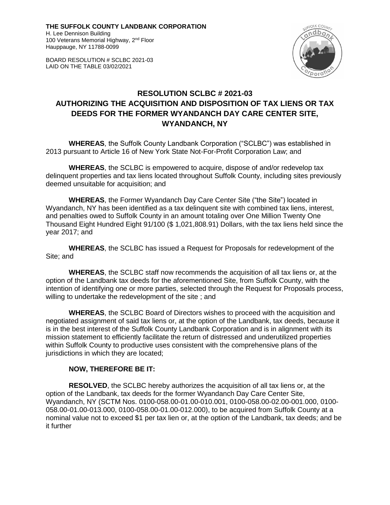**THE SUFFOLK COUNTY LANDBANK CORPORATION** H. Lee Dennison Building 100 Veterans Memorial Highway, 2<sup>nd</sup> Floor Hauppauge, NY 11788-0099

BOARD RESOLUTION # SCLBC 2021-03 LAID ON THE TABLE 03/02/2021



# **RESOLUTION SCLBC # 2021-03 AUTHORIZING THE ACQUISITION AND DISPOSITION OF TAX LIENS OR TAX DEEDS FOR THE FORMER WYANDANCH DAY CARE CENTER SITE, WYANDANCH, NY**

**WHEREAS**, the Suffolk County Landbank Corporation ("SCLBC") was established in 2013 pursuant to Article 16 of New York State Not-For-Profit Corporation Law; and

**WHEREAS**, the SCLBC is empowered to acquire, dispose of and/or redevelop tax delinquent properties and tax liens located throughout Suffolk County, including sites previously deemed unsuitable for acquisition; and

**WHEREAS**, the Former Wyandanch Day Care Center Site ("the Site") located in Wyandanch, NY has been identified as a tax delinquent site with combined tax liens, interest, and penalties owed to Suffolk County in an amount totaling over One Million Twenty One Thousand Eight Hundred Eight 91/100 (\$ 1,021,808.91) Dollars, with the tax liens held since the year 2017; and

**WHEREAS**, the SCLBC has issued a Request for Proposals for redevelopment of the Site; and

**WHEREAS**, the SCLBC staff now recommends the acquisition of all tax liens or, at the option of the Landbank tax deeds for the aforementioned Site, from Suffolk County, with the intention of identifying one or more parties, selected through the Request for Proposals process, willing to undertake the redevelopment of the site ; and

**WHEREAS**, the SCLBC Board of Directors wishes to proceed with the acquisition and negotiated assignment of said tax liens or, at the option of the Landbank, tax deeds, because it is in the best interest of the Suffolk County Landbank Corporation and is in alignment with its mission statement to efficiently facilitate the return of distressed and underutilized properties within Suffolk County to productive uses consistent with the comprehensive plans of the jurisdictions in which they are located;

## **NOW, THEREFORE BE IT:**

**RESOLVED**, the SCLBC hereby authorizes the acquisition of all tax liens or, at the option of the Landbank, tax deeds for the former Wyandanch Day Care Center Site, Wyandanch, NY (SCTM Nos. 0100-058.00-01.00-010.001, 0100-058.00-02.00-001.000, 0100- 058.00-01.00-013.000, 0100-058.00-01.00-012.000), to be acquired from Suffolk County at a nominal value not to exceed \$1 per tax lien or, at the option of the Landbank, tax deeds; and be it further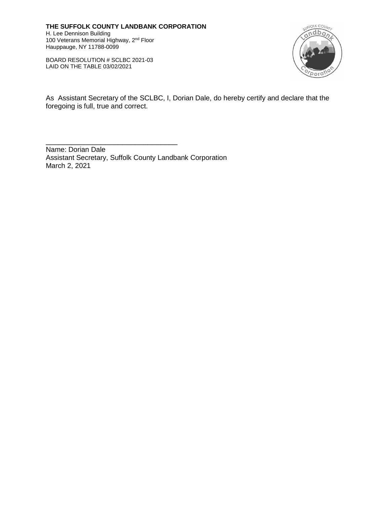**THE SUFFOLK COUNTY LANDBANK CORPORATION** H. Lee Dennison Building 100 Veterans Memorial Highway, 2<sup>nd</sup> Floor Hauppauge, NY 11788-0099

BOARD RESOLUTION # SCLBC 2021-03 LAID ON THE TABLE 03/02/2021

\_\_\_\_\_\_\_\_\_\_\_\_\_\_\_\_\_\_\_\_\_\_\_\_\_\_\_\_\_\_\_



As Assistant Secretary of the SCLBC, I, Dorian Dale, do hereby certify and declare that the foregoing is full, true and correct.

Name: Dorian Dale Assistant Secretary, Suffolk County Landbank Corporation March 2, 2021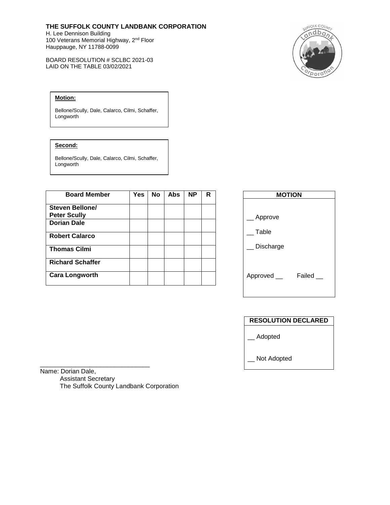## **THE SUFFOLK COUNTY LANDBANK CORPORATION**

H. Lee Dennison Building 100 Veterans Memorial Highway, 2<sup>nd</sup> Floor Hauppauge, NY 11788-0099

BOARD RESOLUTION # SCLBC 2021-03 LAID ON THE TABLE 03/02/2021



### **Motion:**

Bellone/Scully, Dale, Calarco, Cilmi, Schaffer, Longworth

#### **Second:**

Bellone/Scully, Dale, Calarco, Cilmi, Schaffer, Longworth

| <b>Board Member</b>                    | Yes | <b>No</b> | <b>Abs</b> | <b>NP</b> | R |
|----------------------------------------|-----|-----------|------------|-----------|---|
| Steven Bellone/<br><b>Peter Scully</b> |     |           |            |           |   |
| <b>Dorian Dale</b>                     |     |           |            |           |   |
| <b>Robert Calarco</b>                  |     |           |            |           |   |
| <b>Thomas Cilmi</b>                    |     |           |            |           |   |
| <b>Richard Schaffer</b>                |     |           |            |           |   |
| <b>Cara Longworth</b>                  |     |           |            |           |   |

| <b>MOTION</b> |  |  |  |  |  |
|---------------|--|--|--|--|--|
|               |  |  |  |  |  |
|               |  |  |  |  |  |
|               |  |  |  |  |  |
|               |  |  |  |  |  |
|               |  |  |  |  |  |
| Failed        |  |  |  |  |  |
|               |  |  |  |  |  |
|               |  |  |  |  |  |

| <b>RESOLUTION DECLARED</b> |
|----------------------------|
| Adopted                    |
| Not Adopted                |

\_\_\_\_\_\_\_\_\_\_\_\_\_\_\_\_\_\_\_\_\_\_\_\_\_\_\_\_\_\_\_ Name: Dorian Dale, Assistant Secretary The Suffolk County Landbank Corporation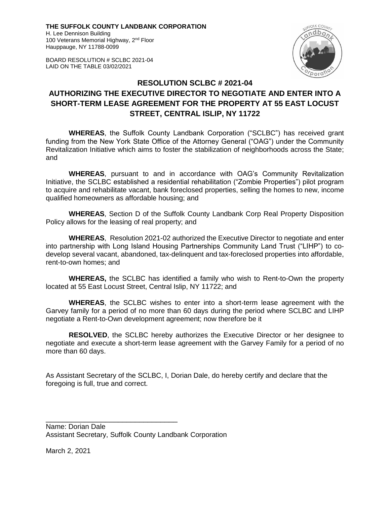**THE SUFFOLK COUNTY LANDBANK CORPORATION** H. Lee Dennison Building

100 Veterans Memorial Highway, 2<sup>nd</sup> Floor Hauppauge, NY 11788-0099

BOARD RESOLUTION # SCLBC 2021-04 LAID ON THE TABLE 03/02/2021



# **RESOLUTION SCLBC # 2021-04**

# **AUTHORIZING THE EXECUTIVE DIRECTOR TO NEGOTIATE AND ENTER INTO A SHORT-TERM LEASE AGREEMENT FOR THE PROPERTY AT 55 EAST LOCUST STREET, CENTRAL ISLIP, NY 11722**

**WHEREAS**, the Suffolk County Landbank Corporation ("SCLBC") has received grant funding from the New York State Office of the Attorney General ("OAG") under the Community Revitalization Initiative which aims to foster the stabilization of neighborhoods across the State; and

**WHEREAS**, pursuant to and in accordance with OAG's Community Revitalization Initiative, the SCLBC established a residential rehabilitation ("Zombie Properties") pilot program to acquire and rehabilitate vacant, bank foreclosed properties, selling the homes to new, income qualified homeowners as affordable housing; and

**WHEREAS**, Section D of the Suffolk County Landbank Corp Real Property Disposition Policy allows for the leasing of real property; and

**WHEREAS**, Resolution 2021-02 authorized the Executive Director to negotiate and enter into partnership with Long Island Housing Partnerships Community Land Trust ("LIHP") to codevelop several vacant, abandoned, tax-delinquent and tax-foreclosed properties into affordable, rent-to-own homes; and

**WHEREAS,** the SCLBC has identified a family who wish to Rent-to-Own the property located at 55 East Locust Street, Central Islip, NY 11722; and

**WHEREAS**, the SCLBC wishes to enter into a short-term lease agreement with the Garvey family for a period of no more than 60 days during the period where SCLBC and LIHP negotiate a Rent-to-Own development agreement; now therefore be it

**RESOLVED**, the SCLBC hereby authorizes the Executive Director or her designee to negotiate and execute a short-term lease agreement with the Garvey Family for a period of no more than 60 days.

As Assistant Secretary of the SCLBC, I, Dorian Dale, do hereby certify and declare that the foregoing is full, true and correct.

Name: Dorian Dale Assistant Secretary, Suffolk County Landbank Corporation

\_\_\_\_\_\_\_\_\_\_\_\_\_\_\_\_\_\_\_\_\_\_\_\_\_\_\_\_\_\_\_

March 2, 2021